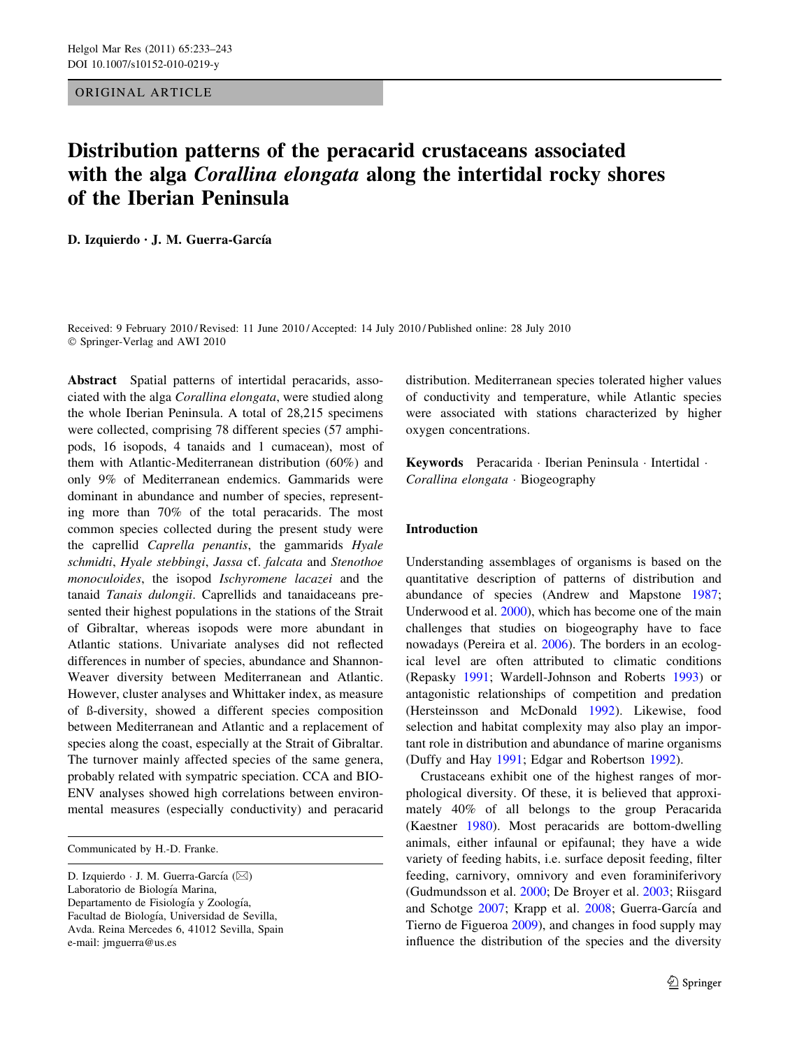ORIGINAL ARTICLE

# Distribution patterns of the peracarid crustaceans associated with the alga *Corallina elongata* along the intertidal rocky shores of the Iberian Peninsula

D. Izquierdo · J. M. Guerra-García

Received: 9 February 2010 / Revised: 11 June 2010 / Accepted: 14 July 2010 / Published online: 28 July 2010 © Springer-Verlag and AWI 2010

Abstract Spatial patterns of intertidal peracarids, associated with the alga Corallina elongata, were studied along the whole Iberian Peninsula. A total of 28,215 specimens were collected, comprising 78 different species (57 amphipods, 16 isopods, 4 tanaids and 1 cumacean), most of them with Atlantic-Mediterranean distribution (60%) and only 9% of Mediterranean endemics. Gammarids were dominant in abundance and number of species, representing more than 70% of the total peracarids. The most common species collected during the present study were the caprellid Caprella penantis, the gammarids Hyale schmidti, Hyale stebbingi, Jassa cf. falcata and Stenothoe monoculoides, the isopod Ischyromene lacazei and the tanaid Tanais dulongii. Caprellids and tanaidaceans presented their highest populations in the stations of the Strait of Gibraltar, whereas isopods were more abundant in Atlantic stations. Univariate analyses did not reflected differences in number of species, abundance and Shannon-Weaver diversity between Mediterranean and Atlantic. However, cluster analyses and Whittaker index, as measure of ß-diversity, showed a different species composition between Mediterranean and Atlantic and a replacement of species along the coast, especially at the Strait of Gibraltar. The turnover mainly affected species of the same genera, probably related with sympatric speciation. CCA and BIO-ENV analyses showed high correlations between environmental measures (especially conductivity) and peracarid

Communicated by H.-D. Franke.

D. Izquierdo · J. M. Guerra-García ( $\boxtimes$ ) Laboratorio de Biología Marina, Departamento de Fisiología y Zoología, Facultad de Biología, Universidad de Sevilla, Avda. Reina Mercedes 6, 41012 Sevilla, Spain e-mail: jmguerra@us.es

distribution. Mediterranean species tolerated higher values of conductivity and temperature, while Atlantic species were associated with stations characterized by higher oxygen concentrations.

Keywords Peracarida · Iberian Peninsula · Intertidal · Corallina elongata - Biogeography

## Introduction

Understanding assemblages of organisms is based on the quantitative description of patterns of distribution and abundance of species (Andrew and Mapstone [1987](#page-8-0); Underwood et al. [2000](#page-10-0)), which has become one of the main challenges that studies on biogeography have to face nowadays (Pereira et al. [2006](#page-10-0)). The borders in an ecological level are often attributed to climatic conditions (Repasky [1991](#page-10-0); Wardell-Johnson and Roberts [1993](#page-10-0)) or antagonistic relationships of competition and predation (Hersteinsson and McDonald [1992\)](#page-10-0). Likewise, food selection and habitat complexity may also play an important role in distribution and abundance of marine organisms (Duffy and Hay [1991](#page-9-0); Edgar and Robertson [1992\)](#page-9-0).

Crustaceans exhibit one of the highest ranges of morphological diversity. Of these, it is believed that approximately 40% of all belongs to the group Peracarida (Kaestner [1980\)](#page-10-0). Most peracarids are bottom-dwelling animals, either infaunal or epifaunal; they have a wide variety of feeding habits, i.e. surface deposit feeding, filter feeding, carnivory, omnivory and even foraminiferivory (Gudmundsson et al. [2000](#page-9-0); De Broyer et al. [2003;](#page-9-0) Riisgard and Schotge [2007;](#page-10-0) Krapp et al. [2008](#page-10-0); Guerra-García and Tierno de Figueroa [2009\)](#page-9-0), and changes in food supply may influence the distribution of the species and the diversity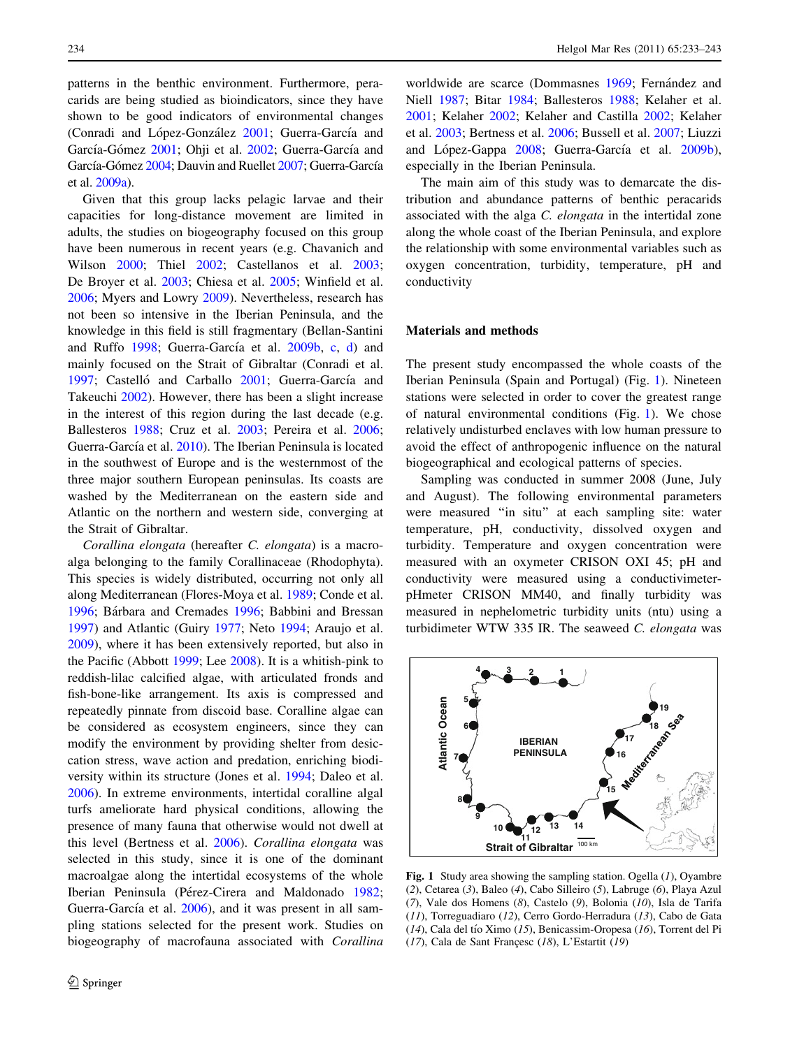<span id="page-1-0"></span>patterns in the benthic environment. Furthermore, peracarids are being studied as bioindicators, since they have shown to be good indicators of environmental changes (Conradi and López-González [2001](#page-9-0); Guerra-García and García-Gómez [2001;](#page-9-0) Ohji et al. [2002](#page-10-0); Guerra-García and García-Gómez [2004](#page-9-0); Dauvin and Ruellet [2007;](#page-9-0) Guerra-García et al. [2009a\)](#page-9-0).

Given that this group lacks pelagic larvae and their capacities for long-distance movement are limited in adults, the studies on biogeography focused on this group have been numerous in recent years (e.g. Chavanich and Wilson [2000;](#page-9-0) Thiel [2002](#page-10-0); Castellanos et al. [2003](#page-9-0); De Broyer et al. [2003;](#page-9-0) Chiesa et al. [2005](#page-9-0); Winfield et al. [2006;](#page-10-0) Myers and Lowry [2009\)](#page-10-0). Nevertheless, research has not been so intensive in the Iberian Peninsula, and the knowledge in this field is still fragmentary (Bellan-Santini and Ruffo [1998;](#page-9-0) Guerra-García et al. [2009b,](#page-9-0) [c,](#page-9-0) [d](#page-9-0)) and mainly focused on the Strait of Gibraltar (Conradi et al. [1997;](#page-9-0) Castelló and Carballo [2001](#page-9-0); Guerra-García and Takeuchi [2002](#page-9-0)). However, there has been a slight increase in the interest of this region during the last decade (e.g. Ballesteros [1988](#page-8-0); Cruz et al. [2003;](#page-9-0) Pereira et al. [2006](#page-10-0); Guerra-García et al. [2010\)](#page-9-0). The Iberian Peninsula is located in the southwest of Europe and is the westernmost of the three major southern European peninsulas. Its coasts are washed by the Mediterranean on the eastern side and Atlantic on the northern and western side, converging at the Strait of Gibraltar.

Corallina elongata (hereafter C. elongata) is a macroalga belonging to the family Corallinaceae (Rhodophyta). This species is widely distributed, occurring not only all along Mediterranean (Flores-Moya et al. [1989;](#page-9-0) Conde et al. [1996;](#page-9-0) Bárbara and Cremades [1996](#page-8-0); Babbini and Bressan [1997\)](#page-8-0) and Atlantic (Guiry [1977;](#page-10-0) Neto [1994;](#page-10-0) Araujo et al. [2009\)](#page-8-0), where it has been extensively reported, but also in the Pacific (Abbott [1999](#page-8-0); Lee [2008\)](#page-10-0). It is a whitish-pink to reddish-lilac calcified algae, with articulated fronds and fish-bone-like arrangement. Its axis is compressed and repeatedly pinnate from discoid base. Coralline algae can be considered as ecosystem engineers, since they can modify the environment by providing shelter from desiccation stress, wave action and predation, enriching biodiversity within its structure (Jones et al. [1994;](#page-10-0) Daleo et al. [2006\)](#page-9-0). In extreme environments, intertidal coralline algal turfs ameliorate hard physical conditions, allowing the presence of many fauna that otherwise would not dwell at this level (Bertness et al. [2006](#page-9-0)). Corallina elongata was selected in this study, since it is one of the dominant macroalgae along the intertidal ecosystems of the whole Iberian Peninsula (Pérez-Cirera and Maldonado [1982](#page-10-0); Guerra-García et al. [2006\)](#page-9-0), and it was present in all sampling stations selected for the present work. Studies on biogeography of macrofauna associated with Corallina

worldwide are scarce (Dommasnes [1969;](#page-9-0) Fernández and Niell [1987;](#page-9-0) Bitar [1984;](#page-9-0) Ballesteros [1988](#page-8-0); Kelaher et al. [2001](#page-10-0); Kelaher [2002](#page-10-0); Kelaher and Castilla [2002;](#page-10-0) Kelaher et al. [2003](#page-10-0); Bertness et al. [2006](#page-9-0); Bussell et al. [2007](#page-9-0); Liuzzi and López-Gappa [2008;](#page-10-0) Guerra-García et al. [2009b](#page-9-0)), especially in the Iberian Peninsula.

The main aim of this study was to demarcate the distribution and abundance patterns of benthic peracarids associated with the alga C. elongata in the intertidal zone along the whole coast of the Iberian Peninsula, and explore the relationship with some environmental variables such as oxygen concentration, turbidity, temperature, pH and conductivity

## Materials and methods

The present study encompassed the whole coasts of the Iberian Peninsula (Spain and Portugal) (Fig. 1). Nineteen stations were selected in order to cover the greatest range of natural environmental conditions (Fig. 1). We chose relatively undisturbed enclaves with low human pressure to avoid the effect of anthropogenic influence on the natural biogeographical and ecological patterns of species.

Sampling was conducted in summer 2008 (June, July and August). The following environmental parameters were measured ''in situ'' at each sampling site: water temperature, pH, conductivity, dissolved oxygen and turbidity. Temperature and oxygen concentration were measured with an oxymeter CRISON OXI 45; pH and conductivity were measured using a conductivimeterpHmeter CRISON MM40, and finally turbidity was measured in nephelometric turbidity units (ntu) using a turbidimeter WTW 335 IR. The seaweed  $C$ . elongata was



Fig. 1 Study area showing the sampling station. Ogella  $(1)$ , Oyambre (2), Cetarea (3), Baleo (4), Cabo Silleiro (5), Labruge (6), Playa Azul (7), Vale dos Homens (8), Castelo (9), Bolonia (10), Isla de Tarifa (11), Torreguadiaro (12), Cerro Gordo-Herradura (13), Cabo de Gata  $(14)$ , Cala del tío Ximo  $(15)$ , Benicassim-Oropesa  $(16)$ , Torrent del Pi  $(17)$ , Cala de Sant Francesc  $(18)$ , L'Estartit  $(19)$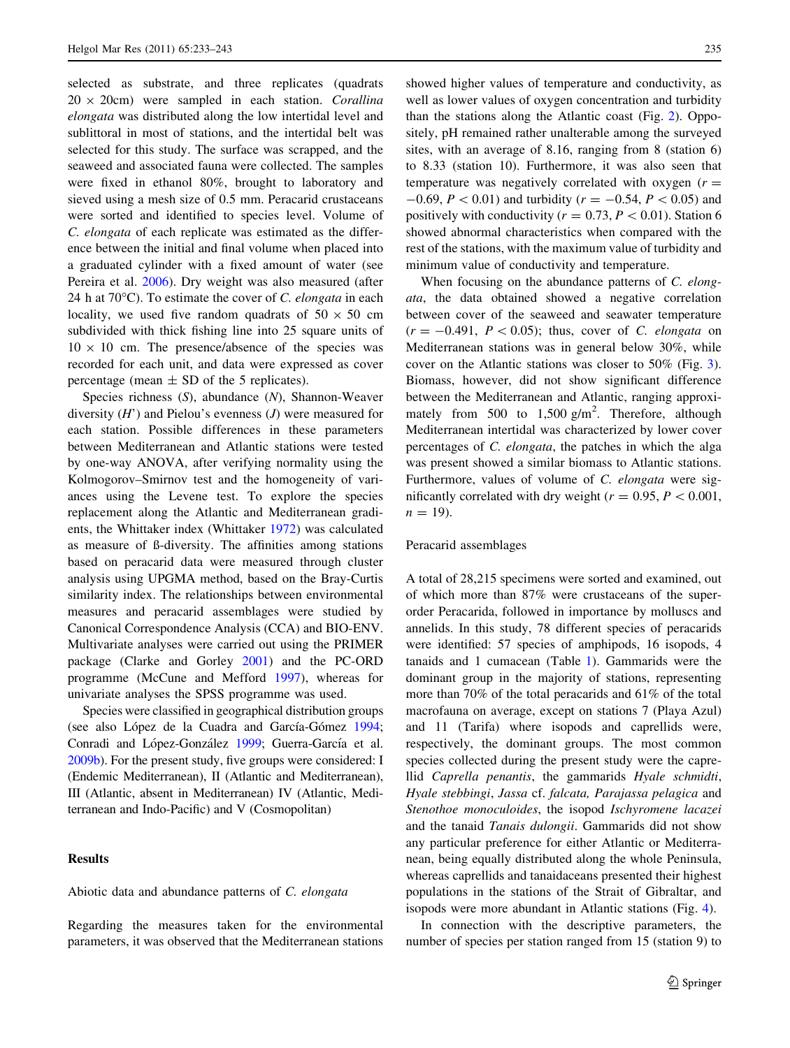selected as substrate, and three replicates (quadrats  $20 \times 20$ cm) were sampled in each station. Corallina elongata was distributed along the low intertidal level and sublittoral in most of stations, and the intertidal belt was selected for this study. The surface was scrapped, and the seaweed and associated fauna were collected. The samples were fixed in ethanol 80%, brought to laboratory and sieved using a mesh size of 0.5 mm. Peracarid crustaceans were sorted and identified to species level. Volume of C. elongata of each replicate was estimated as the difference between the initial and final volume when placed into a graduated cylinder with a fixed amount of water (see Pereira et al. [2006](#page-10-0)). Dry weight was also measured (after 24 h at  $70^{\circ}$ C). To estimate the cover of *C. elongata* in each locality, we used five random quadrats of  $50 \times 50$  cm subdivided with thick fishing line into 25 square units of  $10 \times 10$  cm. The presence/absence of the species was recorded for each unit, and data were expressed as cover percentage (mean  $\pm$  SD of the 5 replicates).

Species richness (S), abundance (N), Shannon-Weaver diversity  $(H')$  and Pielou's evenness  $(J)$  were measured for each station. Possible differences in these parameters between Mediterranean and Atlantic stations were tested by one-way ANOVA, after verifying normality using the Kolmogorov–Smirnov test and the homogeneity of variances using the Levene test. To explore the species replacement along the Atlantic and Mediterranean gradients, the Whittaker index (Whittaker [1972](#page-10-0)) was calculated as measure of ß-diversity. The affinities among stations based on peracarid data were measured through cluster analysis using UPGMA method, based on the Bray-Curtis similarity index. The relationships between environmental measures and peracarid assemblages were studied by Canonical Correspondence Analysis (CCA) and BIO-ENV. Multivariate analyses were carried out using the PRIMER package (Clarke and Gorley [2001\)](#page-9-0) and the PC-ORD programme (McCune and Mefford [1997\)](#page-10-0), whereas for univariate analyses the SPSS programme was used.

Species were classified in geographical distribution groups (see also López de la Cuadra and García-Gómez [1994](#page-10-0); Conradi and López-González [1999](#page-9-0); Guerra-García et al. [2009b](#page-9-0)). For the present study, five groups were considered: I (Endemic Mediterranean), II (Atlantic and Mediterranean), III (Atlantic, absent in Mediterranean) IV (Atlantic, Mediterranean and Indo-Pacific) and V (Cosmopolitan)

# **Results**

#### Abiotic data and abundance patterns of C. elongata

Regarding the measures taken for the environmental parameters, it was observed that the Mediterranean stations showed higher values of temperature and conductivity, as well as lower values of oxygen concentration and turbidity than the stations along the Atlantic coast (Fig. [2\)](#page-3-0). Oppositely, pH remained rather unalterable among the surveyed sites, with an average of 8.16, ranging from 8 (station 6) to 8.33 (station 10). Furthermore, it was also seen that temperature was negatively correlated with oxygen  $(r =$  $-0.69, P < 0.01$  and turbidity ( $r = -0.54, P < 0.05$ ) and positively with conductivity ( $r = 0.73, P < 0.01$ ). Station 6 showed abnormal characteristics when compared with the rest of the stations, with the maximum value of turbidity and minimum value of conductivity and temperature.

When focusing on the abundance patterns of C. elongata, the data obtained showed a negative correlation between cover of the seaweed and seawater temperature  $(r = -0.491, P < 0.05)$ ; thus, cover of C. elongata on Mediterranean stations was in general below 30%, while cover on the Atlantic stations was closer to 50% (Fig. [3](#page-3-0)). Biomass, however, did not show significant difference between the Mediterranean and Atlantic, ranging approximately from 500 to  $1,500 \text{ g/m}^2$ . Therefore, although Mediterranean intertidal was characterized by lower cover percentages of C. elongata, the patches in which the alga was present showed a similar biomass to Atlantic stations. Furthermore, values of volume of C. elongata were significantly correlated with dry weight ( $r = 0.95, P < 0.001$ ,  $n = 19$ ).

#### Peracarid assemblages

A total of 28,215 specimens were sorted and examined, out of which more than 87% were crustaceans of the superorder Peracarida, followed in importance by molluscs and annelids. In this study, 78 different species of peracarids were identified: 57 species of amphipods, 16 isopods, 4 tanaids and 1 cumacean (Table [1\)](#page-4-0). Gammarids were the dominant group in the majority of stations, representing more than 70% of the total peracarids and 61% of the total macrofauna on average, except on stations 7 (Playa Azul) and 11 (Tarifa) where isopods and caprellids were, respectively, the dominant groups. The most common species collected during the present study were the caprellid Caprella penantis, the gammarids Hyale schmidti, Hyale stebbingi, Jassa cf. falcata, Parajassa pelagica and Stenothoe monoculoides, the isopod Ischyromene lacazei and the tanaid Tanais dulongii. Gammarids did not show any particular preference for either Atlantic or Mediterranean, being equally distributed along the whole Peninsula, whereas caprellids and tanaidaceans presented their highest populations in the stations of the Strait of Gibraltar, and isopods were more abundant in Atlantic stations (Fig. [4\)](#page-5-0).

In connection with the descriptive parameters, the number of species per station ranged from 15 (station 9) to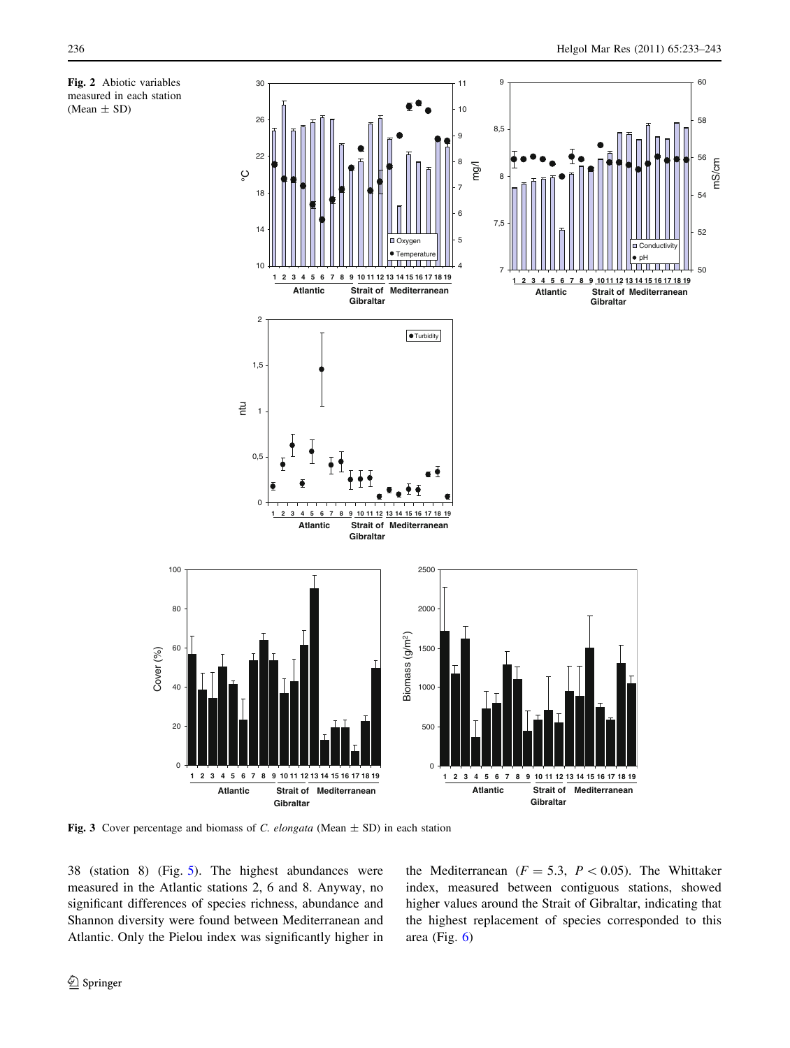mS/cm

<span id="page-3-0"></span>

Fig. 3 Cover percentage and biomass of C. elongata (Mean  $\pm$  SD) in each station

38 (station 8) (Fig. [5](#page-5-0)). The highest abundances were measured in the Atlantic stations 2, 6 and 8. Anyway, no significant differences of species richness, abundance and Shannon diversity were found between Mediterranean and Atlantic. Only the Pielou index was significantly higher in

Cover (%)

the Mediterranean ( $F = 5.3$ ,  $P \lt 0.05$ ). The Whittaker index, measured between contiguous stations, showed higher values around the Strait of Gibraltar, indicating that the highest replacement of species corresponded to this area (Fig. [6\)](#page-6-0)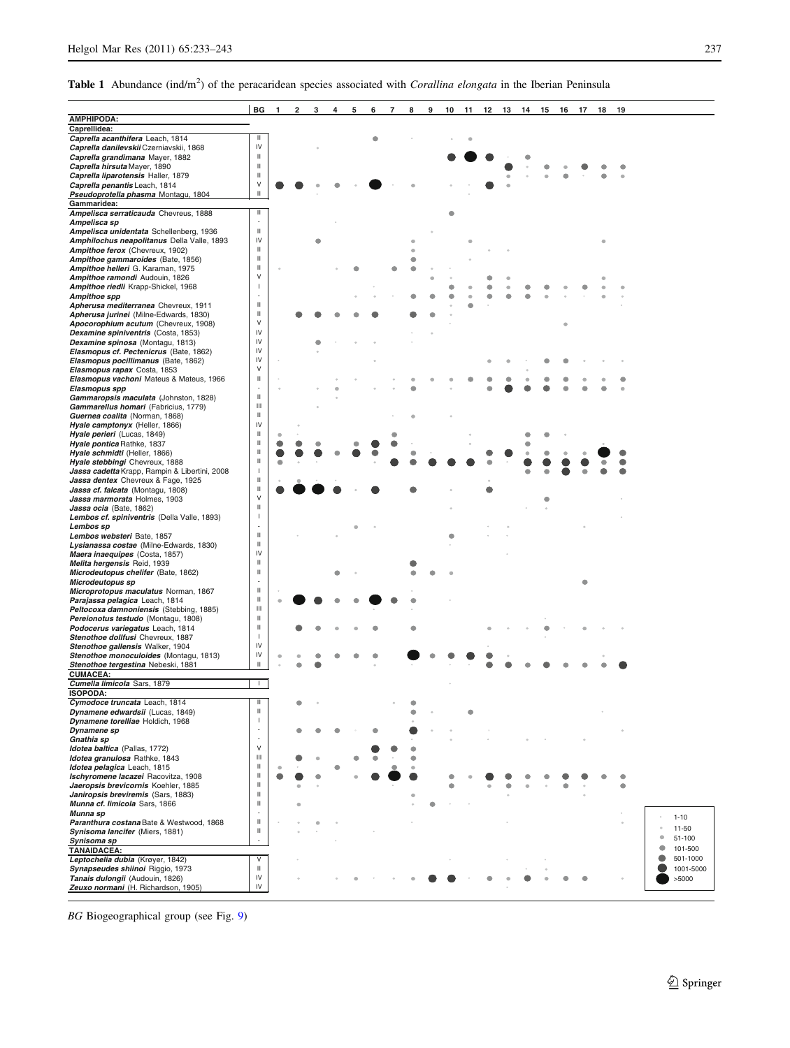<span id="page-4-0"></span>Table 1 Abundance (ind/m<sup>2</sup>) of the peracaridean species associated with Corallina elongata in the Iberian Peninsula

|                                                                                | BG             | 1 | 2 | 3 | 4 | 5 | 6 | 7 | 8 | 9 | 10 | 11 | 12 | 13 | 14 | 15 | 16 | 17 | 18 | 19 |   |           |
|--------------------------------------------------------------------------------|----------------|---|---|---|---|---|---|---|---|---|----|----|----|----|----|----|----|----|----|----|---|-----------|
| <b>AMPHIPODA:</b>                                                              |                |   |   |   |   |   |   |   |   |   |    |    |    |    |    |    |    |    |    |    |   |           |
| Caprellidea:<br>Caprella acanthifera Leach, 1814                               | ш              |   |   |   |   |   |   |   |   |   |    |    |    |    |    |    |    |    |    |    |   |           |
| Caprella danilevskii Czerniavskii, 1868                                        | IV             |   |   |   |   |   |   |   |   |   |    |    |    |    |    |    |    |    |    |    |   |           |
| Caprella grandimana Mayer, 1882                                                | Ш              |   |   |   |   |   |   |   |   |   |    |    |    |    |    |    |    |    |    |    |   |           |
| Caprella hirsuta Mayer, 1890                                                   | Ш              |   |   |   |   |   |   |   |   |   |    |    |    |    |    |    |    |    |    |    |   |           |
| Caprella liparotensis Haller, 1879                                             | $\,$ II        |   |   |   |   |   |   |   |   |   |    |    |    |    |    |    |    |    |    |    |   |           |
| Caprella penantis Leach, 1814                                                  | V              |   |   |   |   |   |   |   |   |   |    |    |    |    |    |    |    |    |    |    |   |           |
| Pseudoprotella phasma Montagu, 1804                                            | Ш              |   |   |   |   |   |   |   |   |   |    |    |    |    |    |    |    |    |    |    |   |           |
| Gammaridea:                                                                    |                |   |   |   |   |   |   |   |   |   |    |    |    |    |    |    |    |    |    |    |   |           |
| Ampelisca serraticauda Chevreus, 1888                                          | Ш              |   |   |   |   |   |   |   |   |   |    |    |    |    |    |    |    |    |    |    |   |           |
| Ampelisca sp                                                                   |                |   |   |   |   |   |   |   |   |   |    |    |    |    |    |    |    |    |    |    |   |           |
| Ampelisca unidentata Schellenberg, 1936                                        | $\,$ II        |   |   |   |   |   |   |   |   |   |    |    |    |    |    |    |    |    |    |    |   |           |
| Amphilochus neapolitanus Della Valle, 1893                                     | IV             |   |   |   |   |   |   |   |   |   |    |    |    |    |    |    |    |    |    |    |   |           |
| Ampithoe ferox (Chevreux, 1902)                                                | Ш              |   |   |   |   |   |   |   |   |   |    |    |    |    |    |    |    |    |    |    |   |           |
| Ampithoe gammaroides (Bate, 1856)                                              | Ш              |   |   |   |   |   |   |   |   |   |    |    |    |    |    |    |    |    |    |    |   |           |
| Ampithoe helleri G. Karaman, 1975                                              | $\rm{II}$      |   |   |   |   |   |   |   |   |   |    |    |    |    |    |    |    |    |    |    |   |           |
| Ampithoe ramondi Audouin, 1826                                                 | V              |   |   |   |   |   |   |   |   |   |    |    |    |    |    |    |    |    |    |    |   |           |
| Ampithoe riedli Krapp-Shickel, 1968                                            | J.             |   |   |   |   |   |   |   |   |   |    |    |    |    |    |    |    |    |    |    |   |           |
| Ampithoe spp                                                                   | J.             |   |   |   |   |   |   |   |   |   |    |    |    |    |    |    |    |    |    |    |   |           |
| Apherusa mediterranea Chevreux, 1911                                           | $\,$ II        |   |   |   |   |   |   |   |   |   |    |    |    |    |    |    |    |    |    |    |   |           |
| Apherusa jurinei (Milne-Edwards, 1830)                                         | $\,$ II        |   |   |   |   |   |   |   |   |   |    |    |    |    |    |    |    |    |    |    |   |           |
| Apocorophium acutum (Chevreux, 1908)                                           | V              |   |   |   |   |   |   |   |   |   |    |    |    |    |    |    |    |    |    |    |   |           |
| Dexamine spiniventris (Costa, 1853)                                            | IV             |   |   |   |   |   |   |   |   |   |    |    |    |    |    |    |    |    |    |    |   |           |
| Dexamine spinosa (Montagu, 1813)                                               | IV             |   |   |   |   |   |   |   |   |   |    |    |    |    |    |    |    |    |    |    |   |           |
| Elasmopus cf. Pectenicrus (Bate, 1862)                                         | IV             |   |   |   |   |   |   |   |   |   |    |    |    |    |    |    |    |    |    |    |   |           |
| Elasmopus pocillimanus (Bate, 1862)                                            | IV             |   |   |   |   |   |   |   |   |   |    |    |    |    |    |    |    |    |    |    |   |           |
| Elasmopus rapax Costa, 1853                                                    | V              |   |   |   |   |   |   |   |   |   |    |    |    |    |    |    |    |    |    |    |   |           |
| Elasmopus vachoni Mateus & Mateus, 1966                                        | Ш              |   |   |   |   |   |   |   |   |   |    |    |    |    |    |    |    |    |    |    |   |           |
| Elasmopus spp                                                                  |                |   |   |   |   |   |   |   |   |   |    |    |    |    |    |    |    |    |    |    |   |           |
| Gammaropsis maculata (Johnston, 1828)                                          | Ш              |   |   |   |   |   |   |   |   |   |    |    |    |    |    |    |    |    |    |    |   |           |
| Gammarellus homari (Fabricius, 1779)                                           | Ш              |   |   |   |   |   |   |   |   |   |    |    |    |    |    |    |    |    |    |    |   |           |
| Guernea coalita (Norman, 1868)                                                 | $\rm{II}$      |   |   |   |   |   |   |   |   |   |    |    |    |    |    |    |    |    |    |    |   |           |
| Hyale camptonyx (Heller, 1866)                                                 | IV             |   |   |   |   |   |   |   |   |   |    |    |    |    |    |    |    |    |    |    |   |           |
| Hyale perieri (Lucas, 1849)                                                    | Ш              |   |   |   |   |   |   |   |   |   |    |    |    |    |    |    |    |    |    |    |   |           |
| Hyale pontica Rathke, 1837                                                     | Ш              |   |   |   |   |   |   |   |   |   |    |    |    |    |    |    |    |    |    |    |   |           |
| Hyale schmidti (Heller, 1866)                                                  | Ш              |   |   |   |   |   |   |   |   |   |    |    |    |    |    |    |    |    |    |    |   |           |
| Hyale stebbingi Chevreux, 1888                                                 | Ш              |   |   |   |   |   |   |   |   |   |    |    |    |    |    |    |    |    |    |    |   |           |
| Jassa cadetta Krapp, Rampin & Libertini, 2008                                  | J              |   |   |   |   |   |   |   |   |   |    |    |    |    |    |    |    |    |    |    |   |           |
| Jassa dentex Chevreux & Fage, 1925                                             | Ш              |   |   |   |   |   |   |   |   |   |    |    |    |    |    |    |    |    |    |    |   |           |
| Jassa cf. falcata (Montagu, 1808)                                              | $\,$ II        |   |   |   |   |   |   |   |   |   |    |    |    |    |    |    |    |    |    |    |   |           |
| Jassa marmorata Holmes, 1903                                                   | V              |   |   |   |   |   |   |   |   |   |    |    |    |    |    |    |    |    |    |    |   |           |
| Jassa ocia (Bate, 1862)                                                        | Ш              |   |   |   |   |   |   |   |   |   |    |    |    |    |    |    |    |    |    |    |   |           |
| Lembos cf. spiniventris (Della Valle, 1893)                                    | J.             |   |   |   |   |   |   |   |   |   |    |    |    |    |    |    |    |    |    |    |   |           |
| Lembos sp                                                                      | J.             |   |   |   |   |   |   |   |   |   |    |    |    |    |    |    |    |    |    |    |   |           |
| Lembos websteri Bate, 1857                                                     | Ш              |   |   |   |   |   |   |   |   |   |    |    |    |    |    |    |    |    |    |    |   |           |
| Lysianassa costae (Milne-Edwards, 1830)                                        | Ш              |   |   |   |   |   |   |   |   |   |    |    |    |    |    |    |    |    |    |    |   |           |
| Maera inaequipes (Costa, 1857)                                                 | IV<br>Ш        |   |   |   |   |   |   |   |   |   |    |    |    |    |    |    |    |    |    |    |   |           |
| Melita hergensis Reid, 1939                                                    |                |   |   |   |   |   |   |   |   |   |    |    |    |    |    |    |    |    |    |    |   |           |
| Microdeutopus chelifer (Bate, 1862)                                            | $\,$ II        |   |   |   |   |   |   |   |   |   |    |    |    |    |    |    |    |    |    |    |   |           |
| Microdeutopus sp                                                               | $\rm{II}$      |   |   |   |   |   |   |   |   |   |    |    |    |    |    |    |    |    |    |    |   |           |
| Microprotopus maculatus Norman, 1867                                           | $\rm{II}$      |   |   |   |   |   |   |   |   |   |    |    |    |    |    |    |    |    |    |    |   |           |
| Parajassa pelagica Leach, 1814                                                 | Ш              |   |   |   |   |   |   |   |   |   |    |    |    |    |    |    |    |    |    |    |   |           |
| Peltocoxa damnoniensis (Stebbing, 1885)<br>Pereionotus testudo (Montagu, 1808) | Ш              |   |   |   |   |   |   |   |   |   |    |    |    |    |    |    |    |    |    |    |   |           |
|                                                                                | Ш              |   |   |   |   |   |   |   |   |   |    |    |    |    |    |    |    |    |    |    |   |           |
| Podocerus variegatus Leach, 1814<br>Stenothoe dollfusi Chevreux, 1887          | J              |   |   |   |   |   |   |   |   |   |    |    |    |    |    |    |    |    |    |    |   |           |
|                                                                                | IV             |   |   |   |   |   |   |   |   |   |    |    |    |    |    |    |    |    |    |    |   |           |
| Stenothoe gallensis Walker, 1904<br>Stenothoe monoculoides (Montagu, 1813)     | IV             |   |   |   |   |   |   |   |   |   |    |    |    |    |    |    |    |    |    |    |   |           |
| Stenothoe tergestina Nebeski, 1881                                             | Ш              |   |   |   |   |   |   |   |   |   |    |    |    |    |    |    |    |    |    |    |   |           |
| <b>CUMACEA:</b>                                                                |                |   |   |   |   |   |   |   |   |   |    |    |    |    |    |    |    |    |    |    |   |           |
| Cumella limicola Sars, 1879                                                    | $\mathbf{L}$   |   |   |   |   |   |   |   |   |   |    |    |    |    |    |    |    |    |    |    |   |           |
|                                                                                |                |   |   |   |   |   |   |   |   |   |    |    |    |    |    |    |    |    |    |    |   |           |
| <b>ISUPUDA:</b><br>Cymodoce truncata Leach, 1814                               | Ш              |   |   |   |   |   |   |   |   |   |    |    |    |    |    |    |    |    |    |    |   |           |
| Dynamene edwardsii (Lucas, 1849)                                               | Ш              |   |   |   |   |   |   |   |   |   |    |    |    |    |    |    |    |    |    |    |   |           |
| Dynamene torelliae Holdich, 1968                                               | J              |   |   |   |   |   |   |   |   |   |    |    |    |    |    |    |    |    |    |    |   |           |
| Dynamene sp                                                                    |                |   |   |   |   |   |   |   |   |   |    |    |    |    |    |    |    |    |    |    |   |           |
| Gnathia sp                                                                     |                |   |   |   |   |   |   |   |   |   |    |    |    |    |    |    |    |    |    |    |   |           |
| Idotea baltica (Pallas, 1772)                                                  | $\mathsf{V}$   |   |   |   |   |   |   |   |   |   |    |    |    |    |    |    |    |    |    |    |   |           |
| Idotea granulosa Rathke, 1843                                                  | $\mathbf{III}$ |   |   |   |   |   |   |   |   |   |    |    |    |    |    |    |    |    |    |    |   |           |
| Idotea pelagica Leach, 1815                                                    | Ш              |   |   |   |   |   |   |   |   |   |    |    |    |    |    |    |    |    |    |    |   |           |
| Ischyromene lacazei Racovitza, 1908                                            | Ш              |   |   |   |   |   |   |   |   |   |    |    |    |    |    |    |    |    |    |    |   |           |
| Jaeropsis brevicornis Koehler, 1885                                            | Ш              |   |   |   |   |   |   |   |   |   |    |    |    |    |    |    |    |    |    |    |   |           |
| Janiropsis breviremis (Sars, 1883)                                             | Ш              |   |   |   |   |   |   |   |   |   |    |    |    |    |    |    |    |    |    |    |   |           |
| Munna cf. limicola Sars, 1866                                                  | $\,$ II        |   |   |   |   |   |   |   |   |   |    |    |    |    |    |    |    |    |    |    |   |           |
| Munna sp                                                                       |                |   |   |   |   |   |   |   |   |   |    |    |    |    |    |    |    |    |    |    |   |           |
| Paranthura costana Bate & Westwood, 1868                                       | Ш              |   |   |   |   |   |   |   |   |   |    |    |    |    |    |    |    |    |    |    |   | $1 - 10$  |
| Synisoma lancifer (Miers, 1881)                                                | $\,$ II        |   |   |   |   |   |   |   |   |   |    |    |    |    |    |    |    |    |    |    |   | 11-50     |
| Synisoma sp                                                                    |                |   |   |   |   |   |   |   |   |   |    |    |    |    |    |    |    |    |    |    | ۰ | 51-100    |
| <b>TANAIDACEA:</b>                                                             |                |   |   |   |   |   |   |   |   |   |    |    |    |    |    |    |    |    |    |    |   | 101-500   |
| Leptochelia dubia (Krøyer, 1842)                                               | V              |   |   |   |   |   |   |   |   |   |    |    |    |    |    |    |    |    |    |    |   | 501-1000  |
| Synapseudes shiinoi Riggio, 1973                                               | Ш              |   |   |   |   |   |   |   |   |   |    |    |    |    |    |    |    |    |    |    |   | 1001-5000 |
| Tanais dulongii (Audouin, 1826)                                                | IV             |   |   |   |   |   |   |   |   |   |    |    |    |    |    |    |    |    |    |    |   | >5000     |
| Zeuxo normani (H. Richardson, 1905)                                            | IV             |   |   |   |   |   |   |   |   |   |    |    |    |    |    |    |    |    |    |    |   |           |
|                                                                                |                |   |   |   |   |   |   |   |   |   |    |    |    |    |    |    |    |    |    |    |   |           |

BG Biogeographical group (see Fig. [9\)](#page-8-0)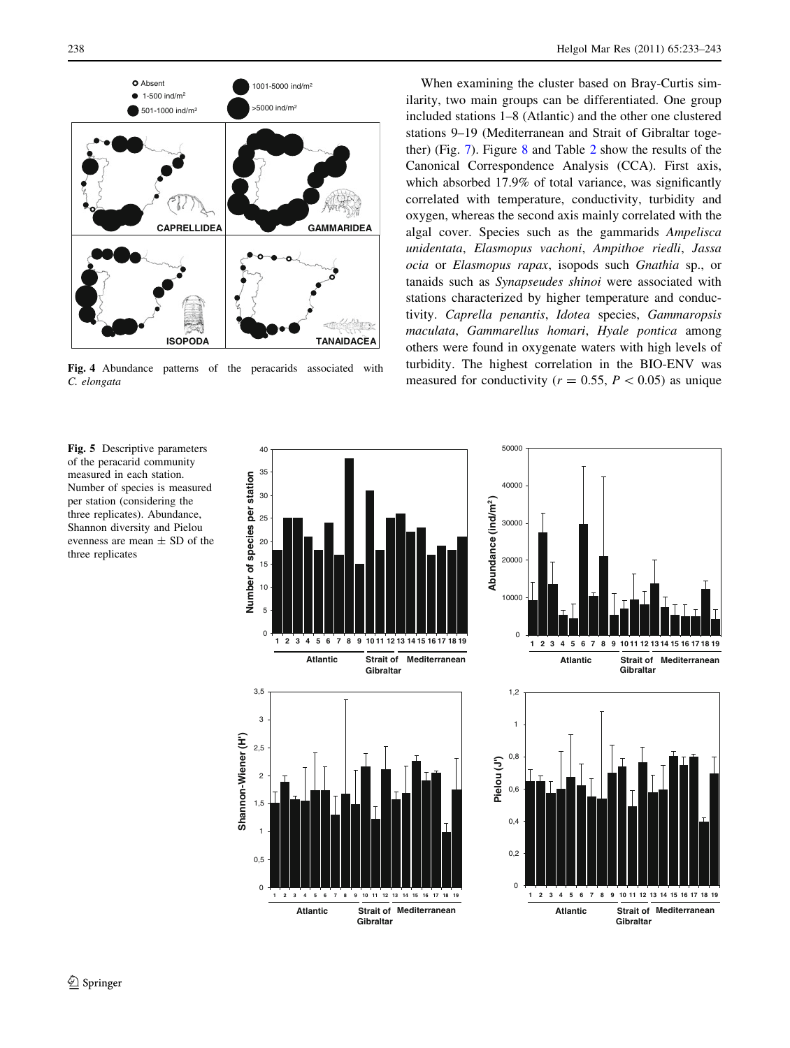<span id="page-5-0"></span>

Fig. 4 Abundance patterns of the peracarids associated with C. elongata

Fig. 5 Descriptive parameters of the peracarid community measured in each station. Number of species is measured per station (considering the three replicates). Abundance, Shannon diversity and Pielou evenness are mean  $\pm$  SD of the three replicates

When examining the cluster based on Bray-Curtis similarity, two main groups can be differentiated. One group included stations 1–8 (Atlantic) and the other one clustered stations 9–19 (Mediterranean and Strait of Gibraltar together) (Fig. [7](#page-6-0)). Figure [8](#page-7-0) and Table [2](#page-8-0) show the results of the Canonical Correspondence Analysis (CCA). First axis, which absorbed 17.9% of total variance, was significantly correlated with temperature, conductivity, turbidity and oxygen, whereas the second axis mainly correlated with the algal cover. Species such as the gammarids Ampelisca unidentata, Elasmopus vachoni, Ampithoe riedli, Jassa ocia or Elasmopus rapax, isopods such Gnathia sp., or tanaids such as Synapseudes shinoi were associated with stations characterized by higher temperature and conductivity. Caprella penantis, Idotea species, Gammaropsis maculata, Gammarellus homari, Hyale pontica among others were found in oxygenate waters with high levels of turbidity. The highest correlation in the BIO-ENV was measured for conductivity ( $r = 0.55$ ,  $P < 0.05$ ) as unique

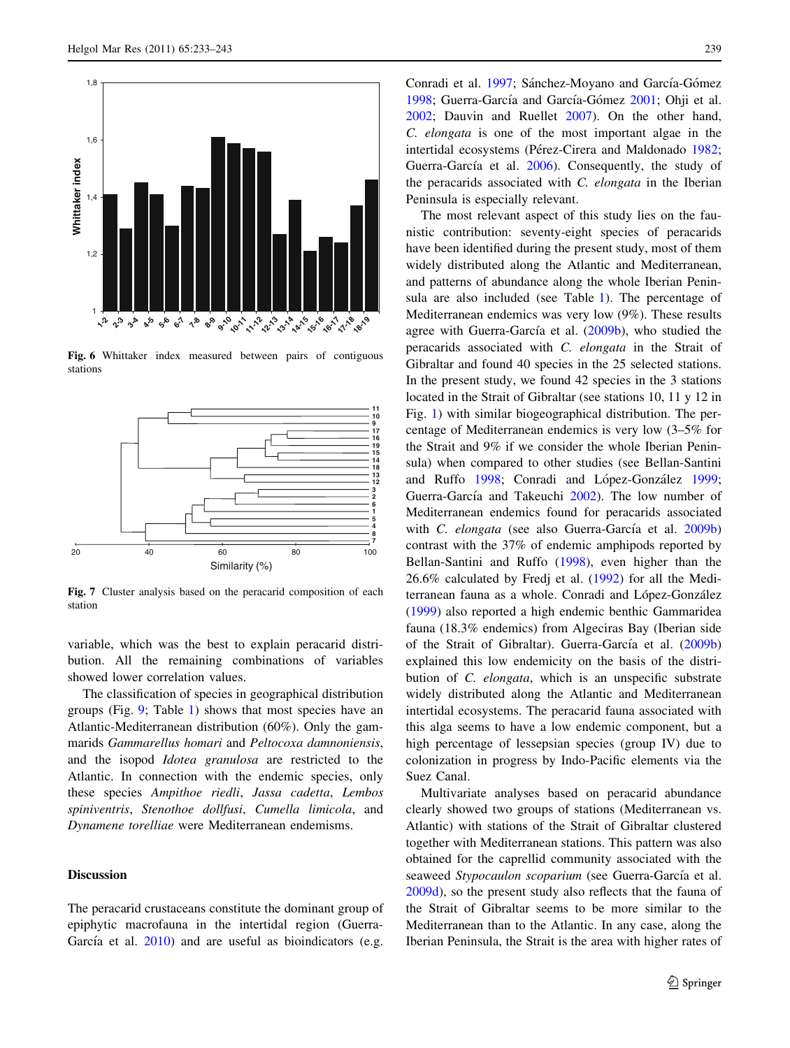<span id="page-6-0"></span>

Fig. 6 Whittaker index measured between pairs of contiguous stations



Fig. 7 Cluster analysis based on the peracarid composition of each station

variable, which was the best to explain peracarid distribution. All the remaining combinations of variables showed lower correlation values.

The classification of species in geographical distribution groups (Fig. [9](#page-8-0); Table [1\)](#page-4-0) shows that most species have an Atlantic-Mediterranean distribution (60%). Only the gammarids Gammarellus homari and Peltocoxa damnoniensis, and the isopod Idotea granulosa are restricted to the Atlantic. In connection with the endemic species, only these species Ampithoe riedli, Jassa cadetta, Lembos spiniventris, Stenothoe dollfusi, Cumella limicola, and Dynamene torelliae were Mediterranean endemisms.

# Discussion

The peracarid crustaceans constitute the dominant group of epiphytic macrofauna in the intertidal region (Guerra-García et al.  $2010$ ) and are useful as bioindicators (e.g. Conradi et al. [1997;](#page-9-0) Sánchez-Moyano and García-Gómez [1998](#page-10-0); Guerra-García and García-Gómez [2001](#page-9-0); Ohji et al. [2002](#page-10-0); Dauvin and Ruellet [2007\)](#page-9-0). On the other hand, C. elongata is one of the most important algae in the intertidal ecosystems (Pérez-Cirera and Maldonado [1982](#page-10-0); Guerra-García et al. [2006](#page-9-0)). Consequently, the study of the peracarids associated with C. elongata in the Iberian Peninsula is especially relevant.

The most relevant aspect of this study lies on the faunistic contribution: seventy-eight species of peracarids have been identified during the present study, most of them widely distributed along the Atlantic and Mediterranean, and patterns of abundance along the whole Iberian Peninsula are also included (see Table [1\)](#page-4-0). The percentage of Mediterranean endemics was very low (9%). These results agree with Guerra-García et al.  $(2009b)$  $(2009b)$ , who studied the peracarids associated with C. elongata in the Strait of Gibraltar and found 40 species in the 25 selected stations. In the present study, we found 42 species in the 3 stations located in the Strait of Gibraltar (see stations 10, 11 y 12 in Fig. [1](#page-1-0)) with similar biogeographical distribution. The percentage of Mediterranean endemics is very low (3–5% for the Strait and 9% if we consider the whole Iberian Peninsula) when compared to other studies (see Bellan-Santini and Ruffo [1998;](#page-9-0) Conradi and López-González [1999](#page-9-0); Guerra-García and Takeuchi [2002\)](#page-9-0). The low number of Mediterranean endemics found for peracarids associated with C. elongata (see also Guerra-García et al. [2009b\)](#page-9-0) contrast with the 37% of endemic amphipods reported by Bellan-Santini and Ruffo ([1998\)](#page-9-0), even higher than the 26.6% calculated by Fredj et al. [\(1992](#page-9-0)) for all the Mediterranean fauna as a whole. Conradi and López-González [\(1999](#page-9-0)) also reported a high endemic benthic Gammaridea fauna (18.3% endemics) from Algeciras Bay (Iberian side of the Strait of Gibraltar). Guerra-García et al. ([2009b\)](#page-9-0) explained this low endemicity on the basis of the distribution of C. elongata, which is an unspecific substrate widely distributed along the Atlantic and Mediterranean intertidal ecosystems. The peracarid fauna associated with this alga seems to have a low endemic component, but a high percentage of lessepsian species (group IV) due to colonization in progress by Indo-Pacific elements via the Suez Canal.

Multivariate analyses based on peracarid abundance clearly showed two groups of stations (Mediterranean vs. Atlantic) with stations of the Strait of Gibraltar clustered together with Mediterranean stations. This pattern was also obtained for the caprellid community associated with the seaweed Stypocaulon scoparium (see Guerra-García et al. [2009d](#page-9-0)), so the present study also reflects that the fauna of the Strait of Gibraltar seems to be more similar to the Mediterranean than to the Atlantic. In any case, along the Iberian Peninsula, the Strait is the area with higher rates of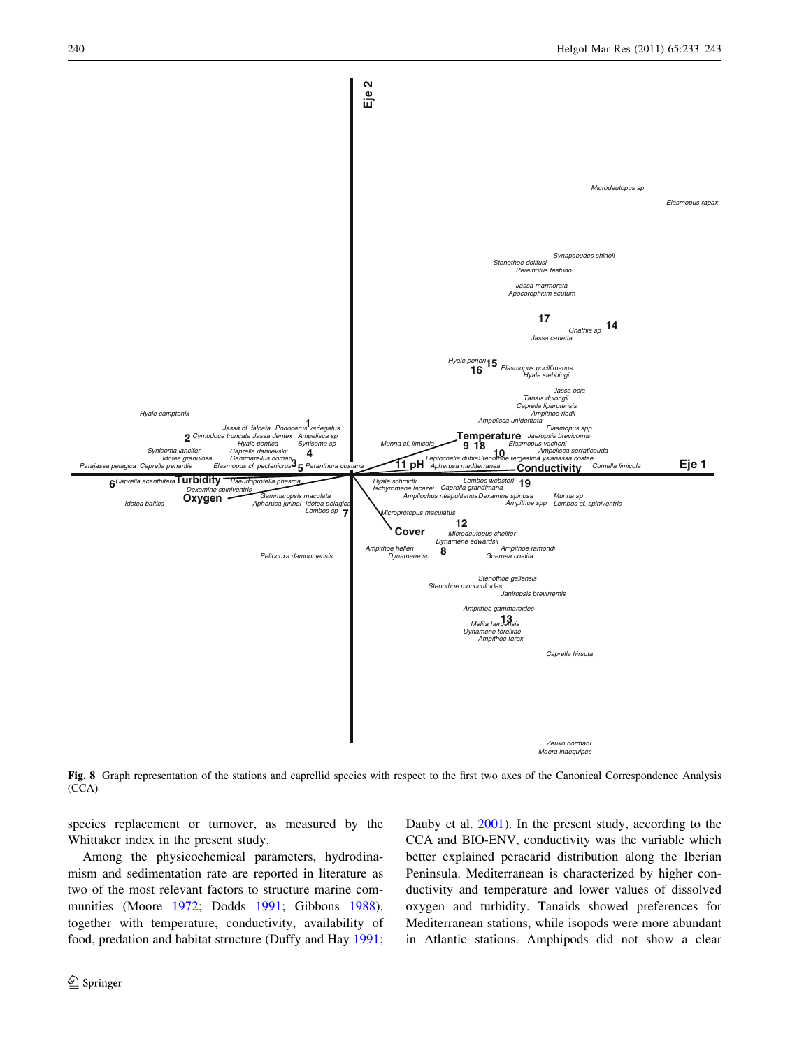<span id="page-7-0"></span>

Fig. 8 Graph representation of the stations and caprellid species with respect to the first two axes of the Canonical Correspondence Analysis (CCA)

species replacement or turnover, as measured by the Whittaker index in the present study.

Among the physicochemical parameters, hydrodinamism and sedimentation rate are reported in literature as two of the most relevant factors to structure marine communities (Moore [1972;](#page-10-0) Dodds [1991;](#page-9-0) Gibbons [1988](#page-9-0)), together with temperature, conductivity, availability of food, predation and habitat structure (Duffy and Hay [1991](#page-9-0);

<sup>2</sup> Springer

Dauby et al. [2001](#page-9-0)). In the present study, according to the CCA and BIO-ENV, conductivity was the variable which better explained peracarid distribution along the Iberian Peninsula. Mediterranean is characterized by higher conductivity and temperature and lower values of dissolved oxygen and turbidity. Tanaids showed preferences for Mediterranean stations, while isopods were more abundant in Atlantic stations. Amphipods did not show a clear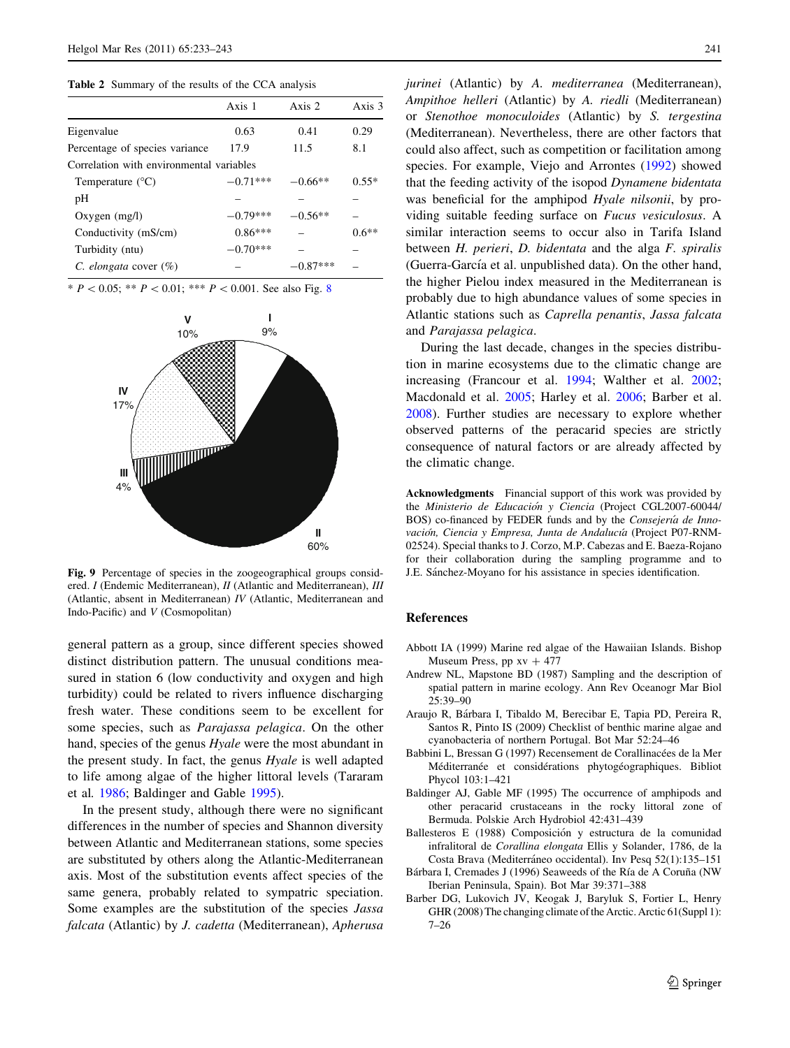<span id="page-8-0"></span>Table 2 Summary of the results of the CCA analysis

|                                          | Axis 1     | Axis 2    | Axis 3  |
|------------------------------------------|------------|-----------|---------|
| Eigenvalue                               | 0.63       | 0.41      | 0.29    |
| Percentage of species variance           | 17.9       | 11.5      | 8.1     |
| Correlation with environmental variables |            |           |         |
| Temperature $(^{\circ}C)$                | $-0.71***$ | $-0.66**$ | $0.55*$ |
| pH                                       |            |           |         |
| $Oxygen$ (mg/l)                          | $-0.79***$ | $-0.56**$ |         |
| Conductivity (mS/cm)                     | $0.86***$  |           | $0.6**$ |
| Turbidity (ntu)                          | $-0.70***$ |           |         |
| C. elongata cover $(\%)$                 |            | $0.87***$ |         |
|                                          |            |           |         |

\*  $P < 0.05$ ; \*\*  $P < 0.01$ ; \*\*\*  $P < 0.001$ . See also Fig. [8](#page-7-0)



Fig. 9 Percentage of species in the zoogeographical groups considered. I (Endemic Mediterranean), II (Atlantic and Mediterranean), III (Atlantic, absent in Mediterranean) IV (Atlantic, Mediterranean and Indo-Pacific) and V (Cosmopolitan)

general pattern as a group, since different species showed distinct distribution pattern. The unusual conditions measured in station 6 (low conductivity and oxygen and high turbidity) could be related to rivers influence discharging fresh water. These conditions seem to be excellent for some species, such as Parajassa pelagica. On the other hand, species of the genus Hyale were the most abundant in the present study. In fact, the genus Hyale is well adapted to life among algae of the higher littoral levels (Tararam et al. [1986;](#page-10-0) Baldinger and Gable 1995).

In the present study, although there were no significant differences in the number of species and Shannon diversity between Atlantic and Mediterranean stations, some species are substituted by others along the Atlantic-Mediterranean axis. Most of the substitution events affect species of the same genera, probably related to sympatric speciation. Some examples are the substitution of the species Jassa falcata (Atlantic) by J. cadetta (Mediterranean), Apherusa jurinei (Atlantic) by A. mediterranea (Mediterranean), Ampithoe helleri (Atlantic) by A. riedli (Mediterranean) or Stenothoe monoculoides (Atlantic) by S. tergestina (Mediterranean). Nevertheless, there are other factors that could also affect, such as competition or facilitation among species. For example, Viejo and Arrontes ([1992](#page-10-0)) showed that the feeding activity of the isopod Dynamene bidentata was beneficial for the amphipod *Hyale nilsonii*, by providing suitable feeding surface on Fucus vesiculosus. A similar interaction seems to occur also in Tarifa Island between H. perieri, D. bidentata and the alga F. spiralis (Guerra-García et al. unpublished data). On the other hand, the higher Pielou index measured in the Mediterranean is probably due to high abundance values of some species in Atlantic stations such as Caprella penantis, Jassa falcata and Parajassa pelagica.

During the last decade, changes in the species distribution in marine ecosystems due to the climatic change are increasing (Francour et al. [1994;](#page-9-0) Walther et al. [2002](#page-10-0); Macdonald et al. [2005;](#page-10-0) Harley et al. [2006;](#page-10-0) Barber et al. 2008). Further studies are necessary to explore whether observed patterns of the peracarid species are strictly consequence of natural factors or are already affected by the climatic change.

Acknowledgments Financial support of this work was provided by the Ministerio de Educación y Ciencia (Project CGL2007-60044/ BOS) co-financed by FEDER funds and by the Consejería de Innovación, Ciencia y Empresa, Junta de Andalucía (Project P07-RNM-02524). Special thanks to J. Corzo, M.P. Cabezas and E. Baeza-Rojano for their collaboration during the sampling programme and to J.E. Sánchez-Moyano for his assistance in species identification.

#### References

- Abbott IA (1999) Marine red algae of the Hawaiian Islands. Bishop Museum Press, pp  $xy + 477$
- Andrew NL, Mapstone BD (1987) Sampling and the description of spatial pattern in marine ecology. Ann Rev Oceanogr Mar Biol 25:39–90
- Araujo R, Bárbara I, Tibaldo M, Berecibar E, Tapia PD, Pereira R, Santos R, Pinto IS (2009) Checklist of benthic marine algae and cyanobacteria of northern Portugal. Bot Mar 52:24–46
- Babbini L, Bressan G (1997) Recensement de Corallinacées de la Mer Méditerranée et considérations phytogéographiques. Bibliot Phycol 103:1–421
- Baldinger AJ, Gable MF (1995) The occurrence of amphipods and other peracarid crustaceans in the rocky littoral zone of Bermuda. Polskie Arch Hydrobiol 42:431–439
- Ballesteros E (1988) Composición y estructura de la comunidad infralitoral de Corallina elongata Ellis y Solander, 1786, de la Costa Brava (Mediterráneo occidental). Inv Pesq 52(1):135-151
- Bárbara I, Cremades J (1996) Seaweeds of the Ría de A Coruña (NW Iberian Peninsula, Spain). Bot Mar 39:371–388
- Barber DG, Lukovich JV, Keogak J, Baryluk S, Fortier L, Henry GHR (2008) The changing climate of the Arctic. Arctic 61(Suppl 1): 7–26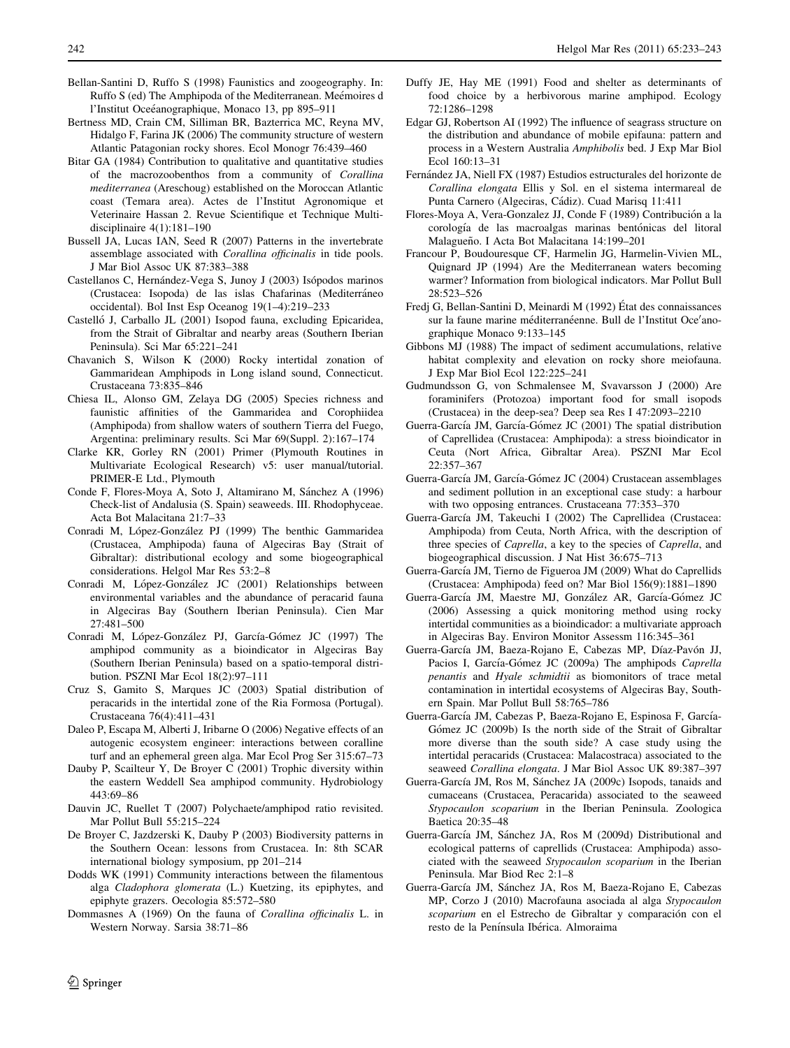- <span id="page-9-0"></span>Bellan-Santini D, Ruffo S (1998) Faunistics and zoogeography. In: Ruffo S (ed) The Amphipoda of the Mediterranean. Meémoires d l'Institut Oceéanographique, Monaco 13, pp 895–911
- Bertness MD, Crain CM, Silliman BR, Bazterrica MC, Reyna MV, Hidalgo F, Farina JK (2006) The community structure of western Atlantic Patagonian rocky shores. Ecol Monogr 76:439–460
- Bitar GA (1984) Contribution to qualitative and quantitative studies of the macrozoobenthos from a community of Corallina mediterranea (Areschoug) established on the Moroccan Atlantic coast (Temara area). Actes de l'Institut Agronomique et Veterinaire Hassan 2. Revue Scientifique et Technique Multidisciplinaire 4(1):181–190
- Bussell JA, Lucas IAN, Seed R (2007) Patterns in the invertebrate assemblage associated with Corallina officinalis in tide pools. J Mar Biol Assoc UK 87:383–388
- Castellanos C, Hernández-Vega S, Junoy J (2003) Isópodos marinos (Crustacea: Isopoda) de las islas Chafarinas (Mediterráneo) occidental). Bol Inst Esp Oceanog 19(1–4):219–233
- Castelló J, Carballo JL (2001) Isopod fauna, excluding Epicaridea, from the Strait of Gibraltar and nearby areas (Southern Iberian Peninsula). Sci Mar 65:221–241
- Chavanich S, Wilson K (2000) Rocky intertidal zonation of Gammaridean Amphipods in Long island sound, Connecticut. Crustaceana 73:835–846
- Chiesa IL, Alonso GM, Zelaya DG (2005) Species richness and faunistic affinities of the Gammaridea and Corophiidea (Amphipoda) from shallow waters of southern Tierra del Fuego, Argentina: preliminary results. Sci Mar 69(Suppl. 2):167–174
- Clarke KR, Gorley RN (2001) Primer (Plymouth Routines in Multivariate Ecological Research) v5: user manual/tutorial. PRIMER-E Ltd., Plymouth
- Conde F, Flores-Moya A, Soto J, Altamirano M, Sánchez A (1996) Check-list of Andalusia (S. Spain) seaweeds. III. Rhodophyceae. Acta Bot Malacitana 21:7–33
- Conradi M, López-González PJ (1999) The benthic Gammaridea (Crustacea, Amphipoda) fauna of Algeciras Bay (Strait of Gibraltar): distributional ecology and some biogeographical considerations. Helgol Mar Res 53:2–8
- Conradi M, López-González JC (2001) Relationships between environmental variables and the abundance of peracarid fauna in Algeciras Bay (Southern Iberian Peninsula). Cien Mar 27:481–500
- Conradi M, López-González PJ, García-Gómez JC (1997) The amphipod community as a bioindicator in Algeciras Bay (Southern Iberian Peninsula) based on a spatio-temporal distribution. PSZNI Mar Ecol 18(2):97–111
- Cruz S, Gamito S, Marques JC (2003) Spatial distribution of peracarids in the intertidal zone of the Ria Formosa (Portugal). Crustaceana 76(4):411–431
- Daleo P, Escapa M, Alberti J, Iribarne O (2006) Negative effects of an autogenic ecosystem engineer: interactions between coralline turf and an ephemeral green alga. Mar Ecol Prog Ser 315:67–73
- Dauby P, Scailteur Y, De Broyer C (2001) Trophic diversity within the eastern Weddell Sea amphipod community. Hydrobiology 443:69–86
- Dauvin JC, Ruellet T (2007) Polychaete/amphipod ratio revisited. Mar Pollut Bull 55:215–224
- De Broyer C, Jazdzerski K, Dauby P (2003) Biodiversity patterns in the Southern Ocean: lessons from Crustacea. In: 8th SCAR international biology symposium, pp 201–214
- Dodds WK (1991) Community interactions between the filamentous alga Cladophora glomerata (L.) Kuetzing, its epiphytes, and epiphyte grazers. Oecologia 85:572–580
- Dommasnes A (1969) On the fauna of Corallina officinalis L. in Western Norway. Sarsia 38:71–86
- Duffy JE, Hay ME (1991) Food and shelter as determinants of food choice by a herbivorous marine amphipod. Ecology 72:1286–1298
- Edgar GJ, Robertson AI (1992) The influence of seagrass structure on the distribution and abundance of mobile epifauna: pattern and process in a Western Australia Amphibolis bed. J Exp Mar Biol Ecol 160:13–31
- Fernández JA, Niell FX (1987) Estudios estructurales del horizonte de Corallina elongata Ellis y Sol. en el sistema intermareal de Punta Carnero (Algeciras, Cádiz). Cuad Marisq 11:411
- Flores-Moya A, Vera-Gonzalez JJ, Conde F (1989) Contribución a la corología de las macroalgas marinas bentónicas del litoral Malagueño. I Acta Bot Malacitana 14:199-201
- Francour P, Boudouresque CF, Harmelin JG, Harmelin-Vivien ML, Quignard JP (1994) Are the Mediterranean waters becoming warmer? Information from biological indicators. Mar Pollut Bull 28:523–526
- Fredj G, Bellan-Santini D, Meinardi M (1992) État des connaissances sur la faune marine méditerranéenne. Bull de l'Institut Oce'anographique Monaco 9:133–145
- Gibbons MJ (1988) The impact of sediment accumulations, relative habitat complexity and elevation on rocky shore meiofauna. J Exp Mar Biol Ecol 122:225–241
- Gudmundsson G, von Schmalensee M, Svavarsson J (2000) Are foraminifers (Protozoa) important food for small isopods (Crustacea) in the deep-sea? Deep sea Res I 47:2093–2210
- Guerra-García JM, García-Gómez JC (2001) The spatial distribution of Caprellidea (Crustacea: Amphipoda): a stress bioindicator in Ceuta (Nort Africa, Gibraltar Area). PSZNI Mar Ecol 22:357–367
- Guerra-García JM, García-Gómez JC (2004) Crustacean assemblages and sediment pollution in an exceptional case study: a harbour with two opposing entrances. Crustaceana 77:353–370
- Guerra-García JM, Takeuchi I (2002) The Caprellidea (Crustacea: Amphipoda) from Ceuta, North Africa, with the description of three species of Caprella, a key to the species of Caprella, and biogeographical discussion. J Nat Hist 36:675–713
- Guerra-García JM, Tierno de Figueroa JM (2009) What do Caprellids (Crustacea: Amphipoda) feed on? Mar Biol 156(9):1881–1890
- Guerra-García JM, Maestre MJ, González AR, García-Gómez JC (2006) Assessing a quick monitoring method using rocky intertidal communities as a bioindicador: a multivariate approach in Algeciras Bay. Environ Monitor Assessm 116:345–361
- Guerra-García JM, Baeza-Rojano E, Cabezas MP, Díaz-Pavón JJ, Pacios I, García-Gómez JC (2009a) The amphipods Caprella penantis and Hyale schmidtii as biomonitors of trace metal contamination in intertidal ecosystems of Algeciras Bay, Southern Spain. Mar Pollut Bull 58:765–786
- Guerra-García JM, Cabezas P, Baeza-Rojano E, Espinosa F, García-Gómez JC (2009b) Is the north side of the Strait of Gibraltar more diverse than the south side? A case study using the intertidal peracarids (Crustacea: Malacostraca) associated to the seaweed Corallina elongata. J Mar Biol Assoc UK 89:387–397
- Guerra-García JM, Ros M, Sánchez JA (2009c) Isopods, tanaids and cumaceans (Crustacea, Peracarida) associated to the seaweed Stypocaulon scoparium in the Iberian Peninsula. Zoologica Baetica 20:35–48
- Guerra-García JM, Sánchez JA, Ros M (2009d) Distributional and ecological patterns of caprellids (Crustacea: Amphipoda) associated with the seaweed Stypocaulon scoparium in the Iberian Peninsula. Mar Biod Rec 2:1–8
- Guerra-García JM, Sánchez JA, Ros M, Baeza-Rojano E, Cabezas MP, Corzo J (2010) Macrofauna asociada al alga Stypocaulon scoparium en el Estrecho de Gibraltar y comparación con el resto de la Península Ibérica. Almoraima